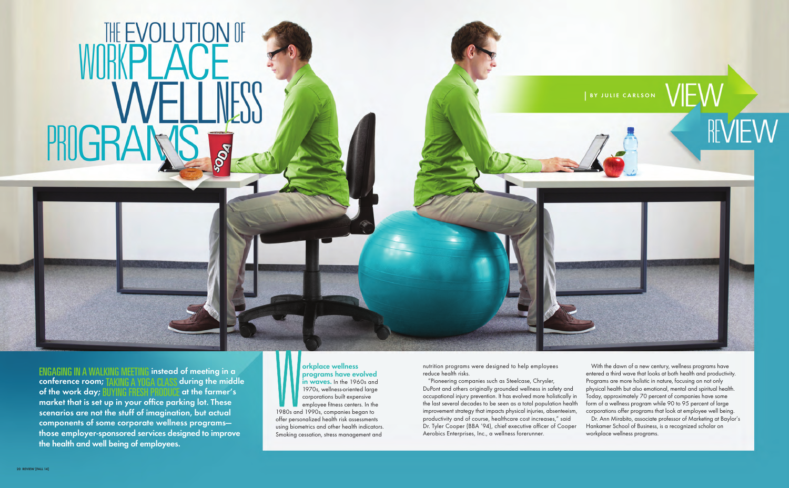

REVIEW



# THE EVOLUTION OF PROGR **POST**

ENGAGING IN A WALKING MEETING **instead of meeting in a conference room; TAKING A YOGA CLASS during the midd of the work day; RIIYING FRESH PRODUCE at the farmer's of the work day; BUYING FRESH PROD market that is set up in your office parking lot. These scenarios are not the stuff of imagination, but actual components of some corporate wellness programs those employer-sponsored services designed to improve the health and well being of employees.**

nutrition programs were designed to help employees reduce health risks.

W<br>1980s and employee fitness centers. In the 1980s and 1990s, companies began to offer personalized health risk assessments using biometrics and other health indicators. Smoking cessation, stress management and

"Pioneering companies such as Steelcase, Chrysler, DuPont and others originally grounded wellness in safety and occupational injury prevention. It has evolved more holistically in the last several decades to be seen as a total population health improvement strategy that impacts physical injuries, absenteeism, productivity and of course, healthcare cost increases," said Dr. Tyler Cooper (BBA '94), chief executive officer of Cooper Aerobics Enterprises, Inc., a wellness forerunner. Programs are more holistic in nature, focusing on not only physical health but also emotional, mental and spiritual health. Today, approximately 70 percent of companies have some form of a wellness program while 90 to 95 percent of large corporations offer programs that look at employee well being. Dr. Ann Mirabito, associate professor of Marketing at Baylor's Hankamer School of Business, is a recognized scholar on workplace wellness programs.

With the dawn of a new century, wellness programs have entered a third wave that looks at both health and productivity.

## **orkplace wellness programs have evolved in waves.** In the 1960s and 1970s, wellness-oriented large corporations built expensive